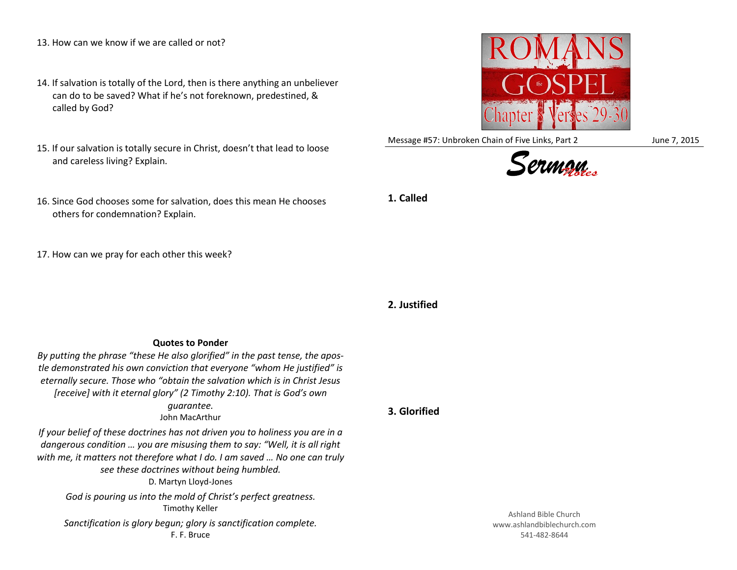- 13. How can we know if we are called or not?
- 14. If salvation is totally of the Lord, then is there anything an unbeliever can do to be saved? What if he's not foreknown, predestined, & called by God?
- 15. If our salvation is totally secure in Christ, doesn't that lead to loose and careless living? Explain.
- 16. Since God chooses some for salvation, does this mean He chooses others for condemnation? Explain.
- 17. How can we pray for each other this week?

**Quotes to Ponder** *By putting the phrase "these He also glorified" in the past tense, the apostle demonstrated his own conviction that everyone "whom He justified" is eternally secure. Those who "obtain the salvation which is in Christ Jesus [receive] with it eternal glory" (2 Timothy 2:10). That is God's own guarantee.* John MacArthur

*If your belief of these doctrines has not driven you to holiness you are in a dangerous condition … you are misusing them to say: "Well, it is all right with me, it matters not therefore what I do. I am saved … No one can truly see these doctrines without being humbled.* D. Martyn Lloyd-Jones *God is pouring us into the mold of Christ's perfect greatness.* Timothy Keller *Sanctification is glory begun; glory is sanctification complete.* F. F. Bruce



Message #57: Unbroken Chain of Five Links, Part 2 June 7, 2015





**1. Called**

**2. Justified**

**3. Glorified**

Ashland Bible Church www.ashlandbiblechurch.com 541-482-8644